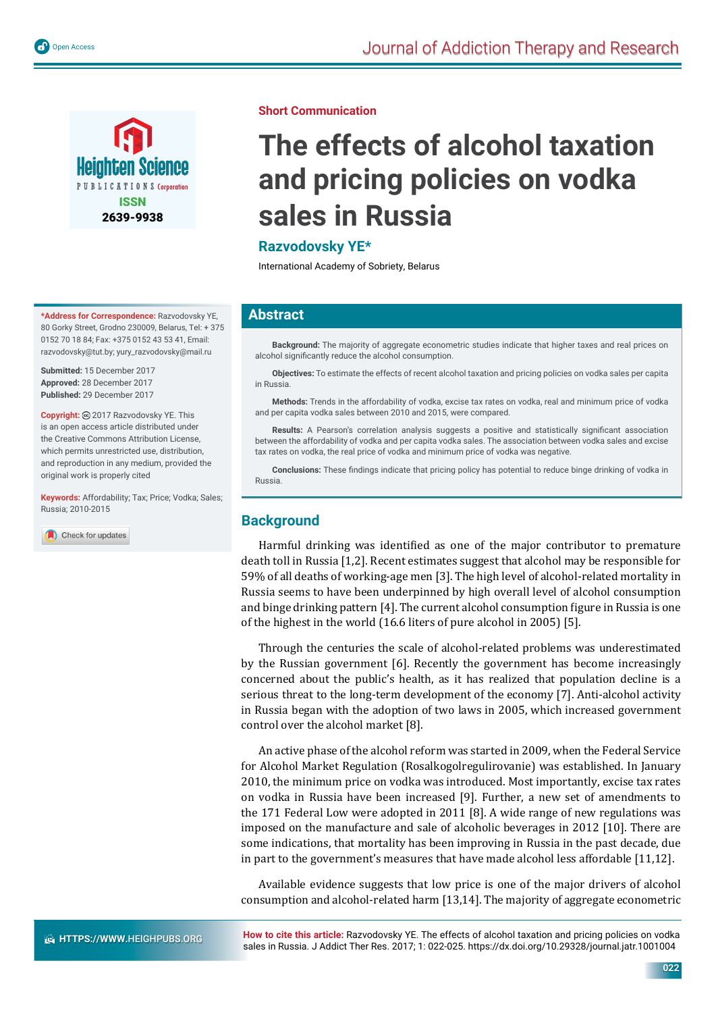

**\*Address for Correspondence:** Razvodovsky YE, 80 Gorky Street, Grodno 230009, Belarus, Tel: + 375 0152 70 18 84; Fax: +375 0152 43 53 41, Email: razvodovsky@tut.by; yury\_razvodovsky@mail.ru

**Submitted:** 15 December 2017 **Approved:** 28 December 2017 **Published:** 29 December 2017

**Copyright:** 2017 Razvodovsky YE. This is an open access article distributed under the Creative Commons Attribution License, which permits unrestricted use, distribution, and reproduction in any medium, provided the original work is properly cited

**Keywords:** Affordability; Tax; Price; Vodka; Sales; Russia; 2010-2015

Check for updates

#### **Short Communication**

# **The effects of alcohol taxation and pricing policies on vodka sales in Russia**

## **Razvodovsky YE\***

International Academy of Sobriety, Belarus

## **Abstract**

**Background:** The majority of aggregate econometric studies indicate that higher taxes and real prices on alcohol significantly reduce the alcohol consumption.

**Objectives:** To estimate the effects of recent alcohol taxation and pricing policies on vodka sales per capita in Russia.

**Methods:** Trends in the affordability of vodka, excise tax rates on vodka, real and minimum price of vodka and per capita vodka sales between 2010 and 2015, were compared.

Results: A Pearson's correlation analysis suggests a positive and statistically significant association between the affordability of vodka and per capita vodka sales. The association between vodka sales and excise tax rates on vodka, the real price of vodka and minimum price of vodka was negative.

**Conclusions:** These findings indicate that pricing policy has potential to reduce binge drinking of vodka in Russia.

## **Background**

Harmful drinking was identified as one of the major contributor to premature death toll in Russia [1,2]. Recent estimates suggest that alcohol may be responsible for 59% of all deaths of working-age men [3]. The high level of alcohol-related mortality in Russia seems to have been underpinned by high overall level of alcohol consumption and binge drinking pattern [4]. The current alcohol consumption figure in Russia is one of the highest in the world (16.6 liters of pure alcohol in 2005) [5].

Through the centuries the scale of alcohol-related problems was underestimated by the Russian government [6]. Recently the government has become increasingly concerned about the public's health, as it has realized that population decline is a serious threat to the long-term development of the economy [7]. Anti-alcohol activity in Russia began with the adoption of two laws in 2005, which increased government control over the alcohol market [8].

An active phase of the alcohol reform was started in 2009, when the Federal Service for Alcohol Market Regulation (Rosalkogolregulirovanie) was established. In January 2010, the minimum price on vodka was introduced. Most importantly, excise tax rates on vodka in Russia have been increased [9]. Further, a new set of amendments to the 171 Federal Low were adopted in 2011 [8]. A wide range of new regulations was imposed on the manufacture and sale of alcoholic beverages in 2012 [10]. There are some indications, that mortality has been improving in Russia in the past decade, due in part to the government's measures that have made alcohol less affordable [11,12].

Available evidence suggests that low price is one of the major drivers of alcohol consumption and alcohol-related harm [13,14]. The majority of aggregate econometric

**How to cite this article:** Razvodovsky YE. The effects of alcohol taxation and pricing policies on vodka sales in Russia. J Addict Ther Res. 2017; 1: 022-025. https://dx.doi.org/10.29328/journal.jatr.1001004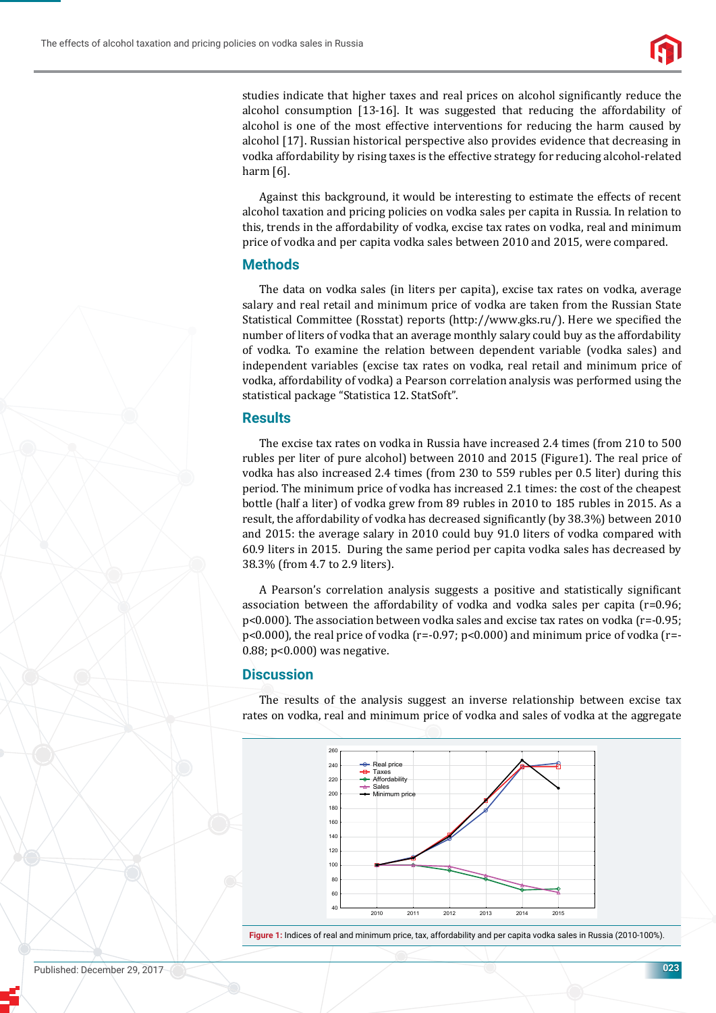

studies indicate that higher taxes and real prices on alcohol significantly reduce the alcohol consumption [13-16]. It was suggested that reducing the affordability of alcohol is one of the most effective interventions for reducing the harm caused by alcohol [17]. Russian historical perspective also provides evidence that decreasing in vodka affordability by rising taxes is the effective strategy for reducing alcohol-related harm [6].

Against this background, it would be interesting to estimate the effects of recent alcohol taxation and pricing policies on vodka sales per capita in Russia. In relation to this, trends in the affordability of vodka, excise tax rates on vodka, real and minimum price of vodka and per capita vodka sales between 2010 and 2015, were compared.

### **Methods**

The data on vodka sales (in liters per capita), excise tax rates on vodka, average salary and real retail and minimum price of vodka are taken from the Russian State Statistical Committee (Rosstat) reports (http://www.gks.ru/). Here we specified the number of liters of vodka that an average monthly salary could buy as the affordability of vodka. To examine the relation between dependent variable (vodka sales) and independent variables (excise tax rates on vodka, real retail and minimum price of vodka, affordability of vodka) a Pearson correlation analysis was performed using the statistical package "Statistica 12. StatSoft".

#### **Results**

The excise tax rates on vodka in Russia have increased 2.4 times (from 210 to 500 rubles per liter of pure alcohol) between 2010 and 2015 (Figure1). The real price of vodka has also increased 2.4 times (from 230 to 559 rubles per 0.5 liter) during this period. The minimum price of vodka has increased 2.1 times: the cost of the cheapest bottle (half a liter) of vodka grew from 89 rubles in 2010 to 185 rubles in 2015. As a result, the affordability of vodka has decreased significantly (by 38.3%) between 2010 and 2015: the average salary in 2010 could buy 91.0 liters of vodka compared with 60.9 liters in 2015. During the same period per capita vodka sales has decreased by 38.3% (from 4.7 to 2.9 liters).

A Pearson's correlation analysis suggests a positive and statistically significant association between the affordability of vodka and vodka sales per capita (r=0.96; p<0.000). The association between vodka sales and excise tax rates on vodka (r=-0.95; p<0.000), the real price of vodka (r=-0.97; p<0.000) and minimum price of vodka (r=- 0.88; p<0.000) was negative.

## **Discussion**

The results of the analysis suggest an inverse relationship between excise tax rates on vodka, real and minimum price of vodka and sales of vodka at the aggregate



**Figure 1:** Indices of real and minimum price, tax, affordability and per capita vodka sales in Russia (2010-100%).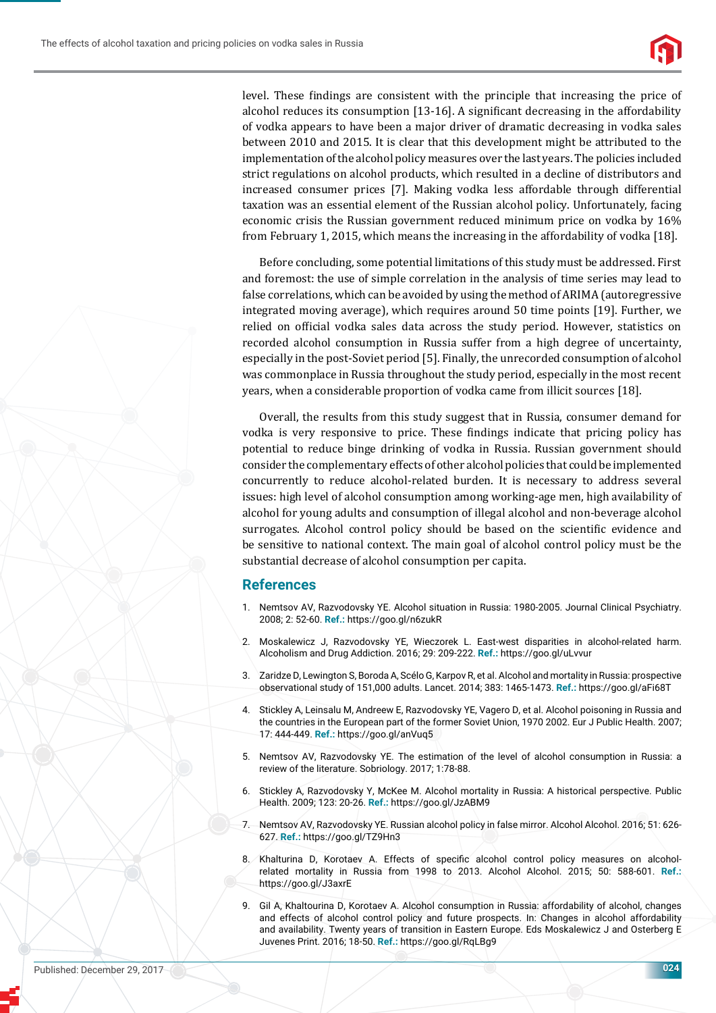

level. These ϐindings are consistent with the principle that increasing the price of alcohol reduces its consumption [13-16]. A significant decreasing in the affordability of vodka appears to have been a major driver of dramatic decreasing in vodka sales between 2010 and 2015. It is clear that this development might be attributed to the implementation of the alcohol policy measures over the last years. The policies included strict regulations on alcohol products, which resulted in a decline of distributors and increased consumer prices [7]. Making vodka less affordable through differential taxation was an essential element of the Russian alcohol policy. Unfortunately, facing economic crisis the Russian government reduced minimum price on vodka by 16% from February 1, 2015, which means the increasing in the affordability of vodka [18].

Before concluding, some potential limitations of this study must be addressed. First and foremost: the use of simple correlation in the analysis of time series may lead to false correlations, which can be avoided by using the method of ARIMA (autoregressive integrated moving average), which requires around 50 time points [19]. Further, we relied on official vodka sales data across the study period. However, statistics on recorded alcohol consumption in Russia suffer from a high degree of uncertainty, especially in the post-Soviet period [5]. Finally, the unrecorded consumption of alcohol was commonplace in Russia throughout the study period, especially in the most recent years, when a considerable proportion of vodka came from illicit sources [18].

Overall, the results from this study suggest that in Russia, consumer demand for vodka is very responsive to price. These findings indicate that pricing policy has potential to reduce binge drinking of vodka in Russia. Russian government should consider the complementary effects of other alcohol policies that could be implemented concurrently to reduce alcohol-related burden. It is necessary to address several issues: high level of alcohol consumption among working-age men, high availability of alcohol for young adults and consumption of illegal alcohol and non-beverage alcohol surrogates. Alcohol control policy should be based on the scientific evidence and be sensitive to national context. The main goal of alcohol control policy must be the substantial decrease of alcohol consumption per capita.

#### **References**

- 1. Nemtsov AV, Razvodovsky YE. Alcohol situation in Russia: 1980-2005. Journal Clinical Psychiatry. 2008; 2: 52-60. **Ref.:** https://goo.gl/n6zukR
- 2. Moskalewicz J, Razvodovsky YE, Wieczorek L. East-west disparities in alcohol-related harm. Alcoholism and Drug Addiction. 2016; 29: 209-222. **Ref.:** https://goo.gl/uLvvur
- 3. Zaridze D, Lewington S, Boroda A, Scélo G, Karpov R, et al. Alcohol and mortality in Russia: prospective observational study of 151,000 adults. Lancet. 2014; 383: 1465-1473. **Ref.:** https://goo.gl/aFi68T
- 4. Stickley A, Leinsalu M, Andreew E, Razvodovsky YE, Vagero D, et al. Alcohol poisoning in Russia and the countries in the European part of the former Soviet Union, 1970 2002. Eur J Public Health. 2007; 17: 444-449. **Ref.:** https://goo.gl/anVuq5
- 5. Nemtsov AV, Razvodovsky YE. The estimation of the level of alcohol consumption in Russia: a review of the literature. Sobriology. 2017; 1:78-88.
- 6. Stickley A, Razvodovsky Y, McKee M. Alcohol mortality in Russia: A historical perspective. Public Health. 2009; 123: 20-26. **Ref.:** https://goo.gl/JzABM9
- 7. Nemtsov AV, Razvodovsky YE. Russian alcohol policy in false mirror. Alcohol Alcohol. 2016; 51: 626- 627. **Ref.:** https://goo.gl/TZ9Hn3
- 8. Khalturina D, Korotaev A. Effects of specific alcohol control policy measures on alcoholrelated mortality in Russia from 1998 to 2013. Alcohol Alcohol. 2015; 50: 588-601. **Ref.:** https://goo.gl/J3axrE
- 9. Gil A, Khaltourina D, Korotaev A. Alcohol consumption in Russia: affordability of alcohol, changes and effects of alcohol control policy and future prospects. In: Changes in alcohol affordability and availability. Twenty years of transition in Eastern Europe. Eds Moskalewicz J and Osterberg E Juvenes Print. 2016; 18-50. **Ref.:** https://goo.gl/RqLBg9